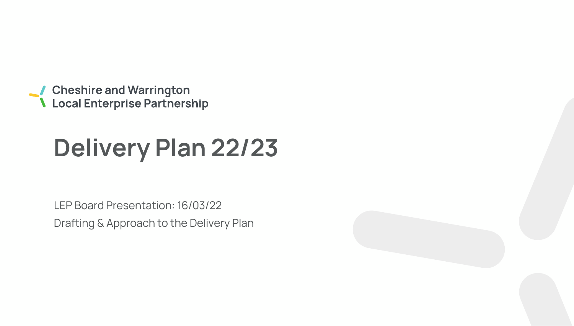● Cheshire and Warrington<br>● Local Enterprise Partnership

# **Delivery Plan 22/23**

LEP Board Presentation: 16/03/22 Drafting & Approach to the Delivery Plan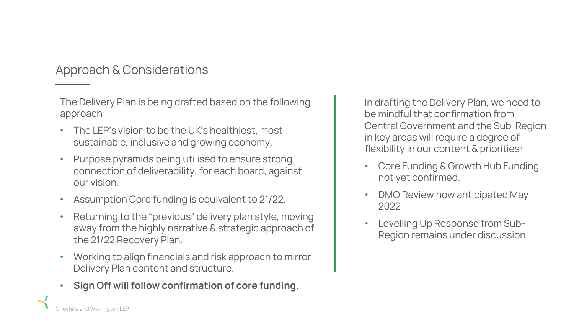Approach & Considerations

The Delivery Plan is being drafted based on the following approach:

- The LEP's vision to be the UK's healthiest, most sustainable, inclusive and growing economy.
- Purpose pyramids being utilised to ensure strong connection of deliverability, for each board, against our vision.
- Assumption Core funding is equivalent to 21/22.
- Returning to the "previous" delivery plan style, moving away from the highly narrative & strategic approach of the 21/22 Recovery Plan.
- Working to align financials and risk approach to mirror Delivery Plan content and structure.
- **Sign Off will follow confirmation of core funding.**

In drafting the Delivery Plan, we need to be mindful that confirmation from Central Government and the Sub-Region in key areas will require a degree of flexibility in our content & priorities:

- Core Funding & Growth Hub Funding not yet confirmed.
- DMO Review now anticipated May 2022
- Levelling Up Response from Sub-Region remains under discussion.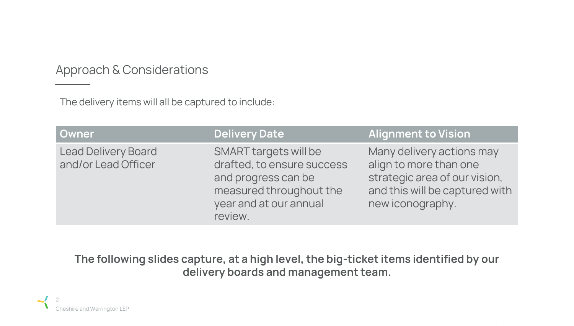Approach & Considerations

The delivery items will all be captured to include:

| <b>Owner</b>                                      | <b>Delivery Date</b>                                                                                                                       | <b>Alignment to Vision</b>                                                                                                                 |
|---------------------------------------------------|--------------------------------------------------------------------------------------------------------------------------------------------|--------------------------------------------------------------------------------------------------------------------------------------------|
| <b>Lead Delivery Board</b><br>and/or Lead Officer | SMART targets will be<br>drafted, to ensure success<br>and progress can be<br>measured throughout the<br>year and at our annual<br>review. | Many delivery actions may<br>align to more than one<br>strategic area of our vision,<br>and this will be captured with<br>new iconography. |

**The following slides capture, at a high level, the big-ticket items identified by our delivery boards and management team.**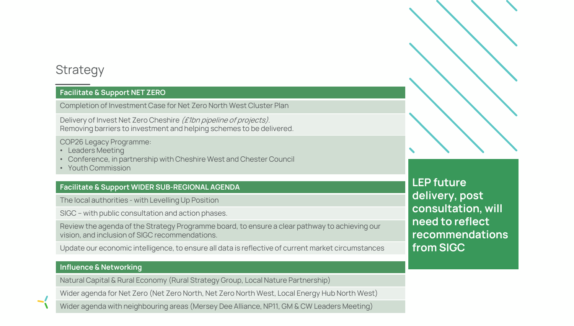### **Strategy**

#### **Facilitate & Support NET ZERO**

Completion of Investment Case for Net Zero North West Cluster Plan

Delivery of Invest Net Zero Cheshire (£1bn pipeline of projects). Removing barriers to investment and helping schemes to be delivered.

COP26 Legacy Programme:

- Leaders Meeting
- Conference, in partnership with Cheshire West and Chester Council
- Youth Commission

#### **Facilitate & Support WIDER SUB-REGIONAL AGENDA**

The local authorities - with Levelling Up Position

SIGC – with public consultation and action phases.

Review the agenda of the Strategy Programme board, to ensure a clear pathway to achieving our vision, and inclusion of SIGC recommendations.

Update our economic intelligence, to ensure all data is reflective of current market circumstances

#### **Influence & Networking**

Natural Capital & Rural Economy (Rural Strategy Group, Local Nature Partnership)

Wider agenda for Net Zero (Net Zero North, Net Zero North West, Local Energy Hub North West)

Wider agenda with neighbouring areas (Mersey Dee Alliance, NP11, GM & CW Leaders Meeting)

**LEP future delivery, post consultation, will need to reflect recommendations from SIGC**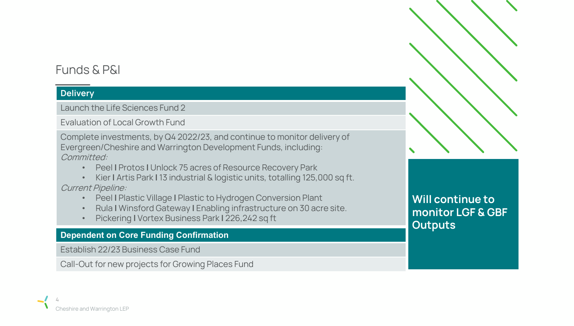### Funds & P&I

### **Delivery**

Launch the Life Sciences Fund 2

Evaluation of Local Growth Fund

Complete investments, by Q4 2022/23, and continue to monitor delivery of Evergreen/Cheshire and Warrington Development Funds, including: Committed:

- Peel **|** Protos **|** Unlock 75 acres of Resource Recovery Park
- Kier **|** Artis Park **|** 13 industrial & logistic units, totalling 125,000 sq ft. Current Pipeline:
	- Peel **|** Plastic Village **|** Plastic to Hydrogen Conversion Plant
	- Rula **|** Winsford Gateway **|** Enabling infrastructure on 30 acre site.
	- Pickering **|** Vortex Business Park **|** 226,242 sq ft

### **Dependent on Core Funding Confirmation**

Establish 22/23 Business Case Fund

Call-Out for new projects for Growing Places Fund

**Will continue to monitor LGF & GBF Outputs**

 $\blacklozenge$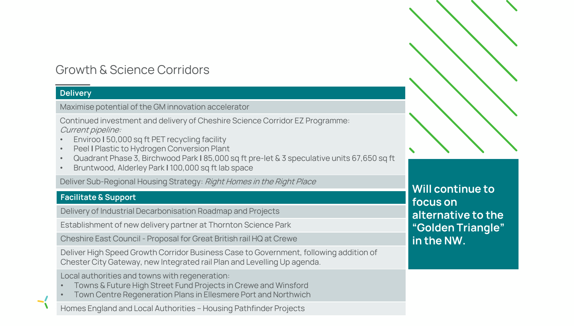### Growth & Science Corridors

### **Delivery**

5

 $\blacktriangleright$ 

Maximise potential of the GM innovation accelerator

Continued investment and delivery of Cheshire Science Corridor EZ Programme: Current pipeline:

- Enviroo **|** 50,000 sq ft PET recycling facility
- Peel **|** Plastic to Hydrogen Conversion Plant
- Quadrant Phase 3, Birchwood Park **|** 85,000 sq ft pre-let & 3 speculative units 67,650 sq ft
- Bruntwood, Alderley Park **|** 100,000 sq ft lab space

Deliver Sub-Regional Housing Strategy: Right Homes in the Right Place

### **Facilitate & Support**

Delivery of Industrial Decarbonisation Roadmap and Projects

Establishment of new delivery partner at Thornton Science Park

Cheshire East Council - Proposal for Great British rail HQ at Crewe

Deliver High Speed Growth Corridor Business Case to Government, following addition of Chester City Gateway, new Integrated rail Plan and Levelling Up agenda.

Local authorities and towns with regeneration:

- Towns & Future High Street Fund Projects in Crewe and Winsford
- Town Centre Regeneration Plans in Ellesmere Port and Northwich

**Homes England and Local Authorities - Housing Pathfinder Projects** 



**Will continue to focus on alternative to the "Golden Triangle" in the NW.**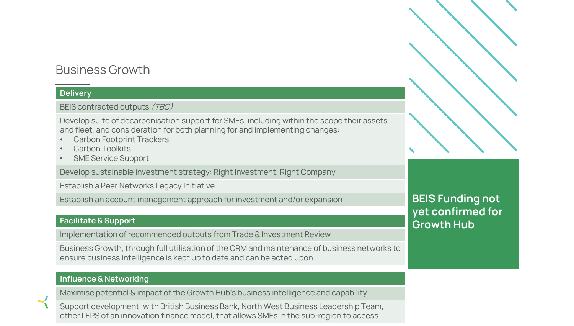### Business Growth

#### **Delivery**

BEIS contracted outputs (TBC)

Develop suite of decarbonisation support for SMEs, including within the scope their assets and fleet, and consideration for both planning for and implementing changes:

- Carbon Footprint Trackers
- Carbon Toolkits
- **SME Service Support**

Develop sustainable investment strategy: Right Investment, Right Company

Establish a Peer Networks Legacy Initiative

Establish an account management approach for investment and/or expansion

#### **Facilitate & Support**

Implementation of recommended outputs from Trade & Investment Review

Business Growth, through full utilisation of the CRM and maintenance of business networks to ensure business intelligence is kept up to date and can be acted upon.

#### **Influence & Networking**

Maximise potential & impact of the Growth Hub's business intelligence and capability.

Support development, with British Business Bank, North West Business Leadership Team, other LEPS of an innovation finance model, that allows SMEs in the sub-region to access.

### **BEIS Funding not yet confirmed for Growth Hub**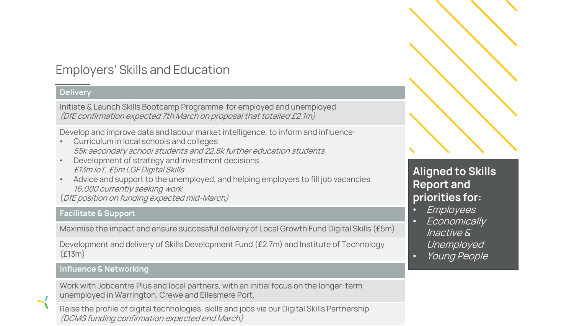### Employers' Skills and Education

#### **Delivery**

Initiate & Launch Skills Bootcamp Programme for employed and unemployed (DfE confirmation expected 7th March on proposal that totalled £2.1m)

Develop and improve data and labour market intelligence, to inform and influence:

- Curriculum in local schools and colleges 55k secondary school students and 22.5k further education students
- Development of strategy and investment decisions £13m IoT, £5m LGF Digital Skills
- Advice and support to the unemployed, and helping employers to fill job vacancies 16,000 currently seeking work

(DfE position on funding expected mid-March)

#### **Facilitate & Support**

Maximise the impact and ensure successful delivery of Local Growth Fund Digital Skills (£5m)

Development and delivery of Skills Development Fund (£2.7m) and Institute of Technology (£13m)

#### **Influence & Networking**

 $\blacktriangleleft$ 

Work with Jobcentre Plus and local partners, with an initial focus on the longer-term unemployed in Warrington, Crewe and Ellesmere Port.

Raise the profile of digital technologies, skills and jobs via our Digital Skills Partnership (DCMS funding confirmation expected end March)

### **Aligned to Skills Report and priorities for:**

- Employees
- Economically Inactive & Unemployed
- Young People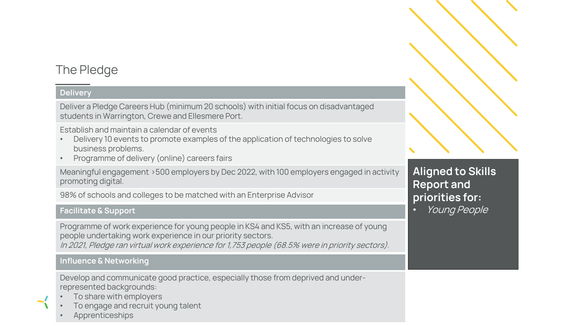### The Pledge

#### **Delivery**

Deliver a Pledge Careers Hub (minimum 20 schools) with initial focus on disadvantaged students in Warrington, Crewe and Ellesmere Port.

Establish and maintain a calendar of events

- Delivery 10 events to promote examples of the application of technologies to solve business problems.
- Programme of delivery (online) careers fairs

Meaningful engagement >500 employers by Dec 2022, with 100 employers engaged in activity promoting digital.

98% of schools and colleges to be matched with an Enterprise Advisor

### **Facilitate & Support**

Programme of work experience for young people in KS4 and KS5, with an increase of young people undertaking work experience in our priority sectors. In 2021, Pledge ran virtual work experience for 1,753 people (68.5% were in priority sectors).

#### **Influence & Networking**

Develop and communicate good practice, especially those from deprived and underrepresented backgrounds:

- To share with employers
- To engage and recruit young talent
- **Apprenticeships**



• Young People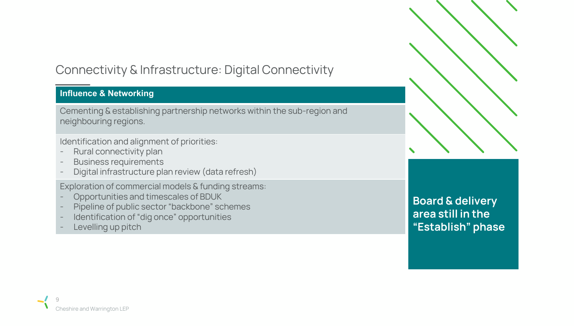## Connectivity & Infrastructure: Digital Connectivity

### **Influence & Networking**

Cementing & establishing partnership networks within the sub-region and neighbouring regions.

Identification and alignment of priorities:

- Rural connectivity plan
- Business requirements
- Digital infrastructure plan review (data refresh)

Exploration of commercial models & funding streams:

- Opportunities and timescales of BDUK
- Pipeline of public sector "backbone" schemes
- Identification of "dig once" opportunities
- Levelling up pitch

**Board & delivery area still in the "Establish" phase**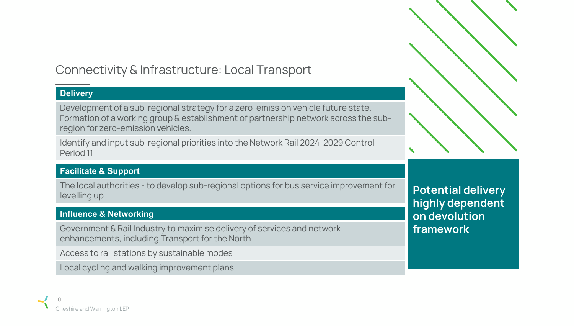## Connectivity & Infrastructure: Local Transport

### **Delivery**

Development of a sub-regional strategy for a zero-emission vehicle future state. Formation of a working group & establishment of partnership network across the subregion for zero-emission vehicles.

Identify and input sub-regional priorities into the Network Rail 2024-2029 Control Period 11

### **Facilitate & Support**

The local authorities - to develop sub-regional options for bus service improvement for levelling up.

### **Influence & Networking**

Government & Rail Industry to maximise delivery of services and network enhancements, including Transport for the North

Access to rail stations by sustainable modes

Local cycling and walking improvement plans



**Potential delivery highly dependent on devolution framework**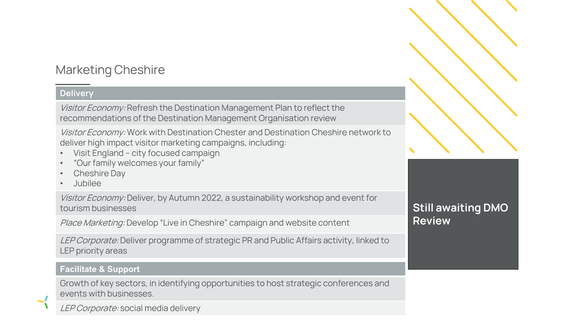### Marketing Cheshire

### **Delivery**

Visitor Economy: Refresh the Destination Management Plan to reflect the recommendations of the Destination Management Organisation review

Visitor Economy: Work with Destination Chester and Destination Cheshire network to deliver high impact visitor marketing campaigns, including:

- Visit England city focused campaign
- "Our family welcomes your family"
- Cheshire Day
- Jubilee

Visitor Economy: Deliver, by Autumn 2022, a sustainability workshop and event for tourism businesses

Place Marketing: Develop "Live in Cheshire" campaign and website content

LEP Corporate: Deliver programme of strategic PR and Public Affairs activity, linked to LEP priority areas

### **Facilitate & Support**

Growth of key sectors, in identifying opportunities to host strategic conferences and events with businesses.

LEP Corporate: social media delivery

### **Still awaiting DMO Review**